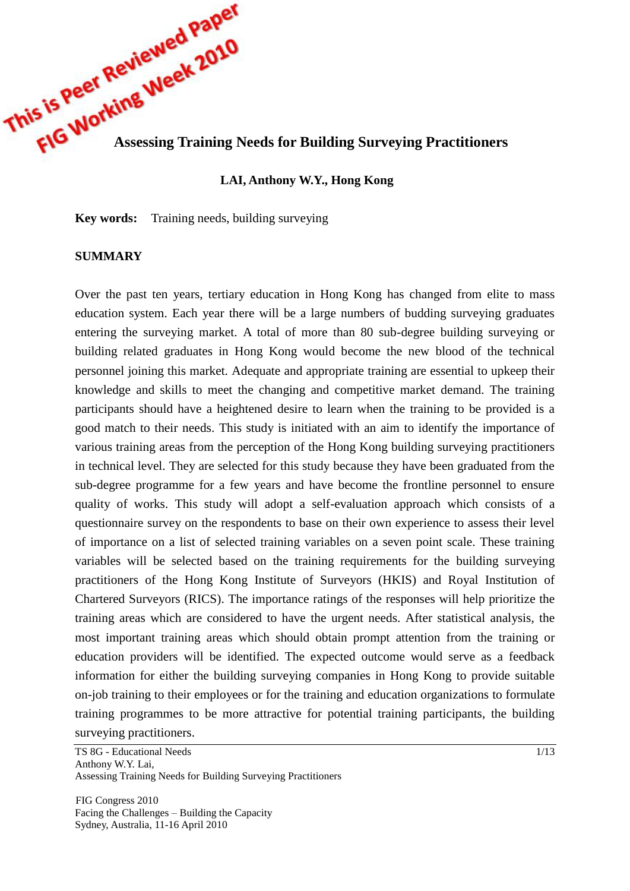

# **LAI, Anthony W.Y., Hong Kong**

**Key words:** Training needs, building surveying

#### **SUMMARY**

Over the past ten years, tertiary education in Hong Kong has changed from elite to mass education system. Each year there will be a large numbers of budding surveying graduates entering the surveying market. A total of more than 80 sub-degree building surveying or building related graduates in Hong Kong would become the new blood of the technical personnel joining this market. Adequate and appropriate training are essential to upkeep their knowledge and skills to meet the changing and competitive market demand. The training participants should have a heightened desire to learn when the training to be provided is a good match to their needs. This study is initiated with an aim to identify the importance of various training areas from the perception of the Hong Kong building surveying practitioners in technical level. They are selected for this study because they have been graduated from the sub-degree programme for a few years and have become the frontline personnel to ensure quality of works. This study will adopt a self-evaluation approach which consists of a questionnaire survey on the respondents to base on their own experience to assess their level of importance on a list of selected training variables on a seven point scale. These training variables will be selected based on the training requirements for the building surveying practitioners of the Hong Kong Institute of Surveyors (HKIS) and Royal Institution of Chartered Surveyors (RICS). The importance ratings of the responses will help prioritize the training areas which are considered to have the urgent needs. After statistical analysis, the most important training areas which should obtain prompt attention from the training or education providers will be identified. The expected outcome would serve as a feedback information for either the building surveying companies in Hong Kong to provide suitable on-job training to their employees or for the training and education organizations to formulate training programmes to be more attractive for potential training participants, the building surveying practitioners.

TS 8G - Educational Needs Anthony W.Y. Lai, Assessing Training Needs for Building Surveying Practitioners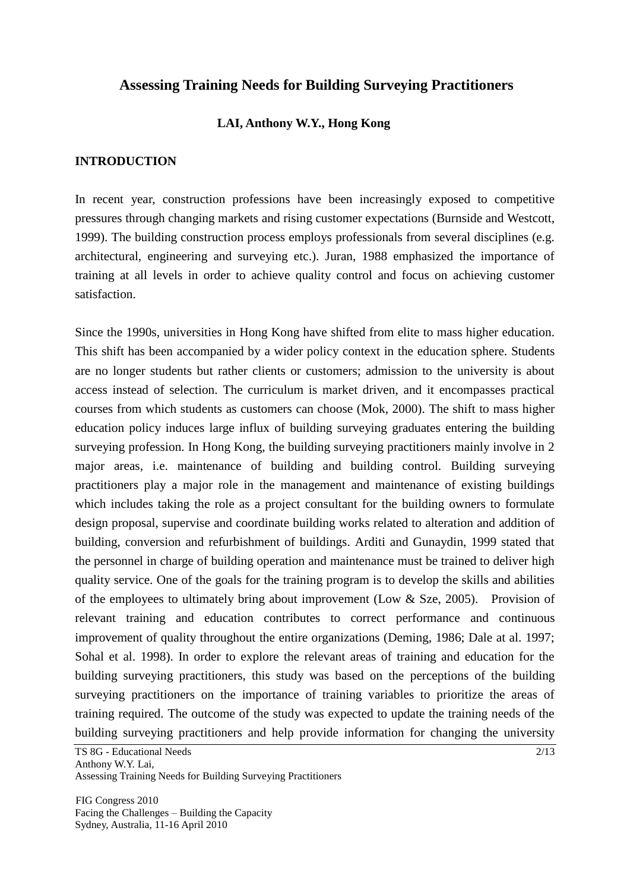# **Assessing Training Needs for Building Surveying Practitioners**

### **LAI, Anthony W.Y., Hong Kong**

#### **INTRODUCTION**

In recent year, construction professions have been increasingly exposed to competitive pressures through changing markets and rising customer expectations (Burnside and Westcott, 1999). The building construction process employs professionals from several disciplines (e.g. architectural, engineering and surveying etc.). Juran, 1988 emphasized the importance of training at all levels in order to achieve quality control and focus on achieving customer satisfaction.

Since the 1990s, universities in Hong Kong have shifted from elite to mass higher education. This shift has been accompanied by a wider policy context in the education sphere. Students are no longer students but rather clients or customers; admission to the university is about access instead of selection. The curriculum is market driven, and it encompasses practical courses from which students as customers can choose (Mok, 2000). The shift to mass higher education policy induces large influx of building surveying graduates entering the building surveying profession. In Hong Kong, the building surveying practitioners mainly involve in 2 major areas, i.e. maintenance of building and building control. Building surveying practitioners play a major role in the management and maintenance of existing buildings which includes taking the role as a project consultant for the building owners to formulate design proposal, supervise and coordinate building works related to alteration and addition of building, conversion and refurbishment of buildings. Arditi and Gunaydin, 1999 stated that the personnel in charge of building operation and maintenance must be trained to deliver high quality service. One of the goals for the training program is to develop the skills and abilities of the employees to ultimately bring about improvement (Low  $&$  Sze, 2005). Provision of relevant training and education contributes to correct performance and continuous improvement of quality throughout the entire organizations (Deming, 1986; Dale at al. 1997; Sohal et al. 1998). In order to explore the relevant areas of training and education for the building surveying practitioners, this study was based on the perceptions of the building surveying practitioners on the importance of training variables to prioritize the areas of training required. The outcome of the study was expected to update the training needs of the building surveying practitioners and help provide information for changing the university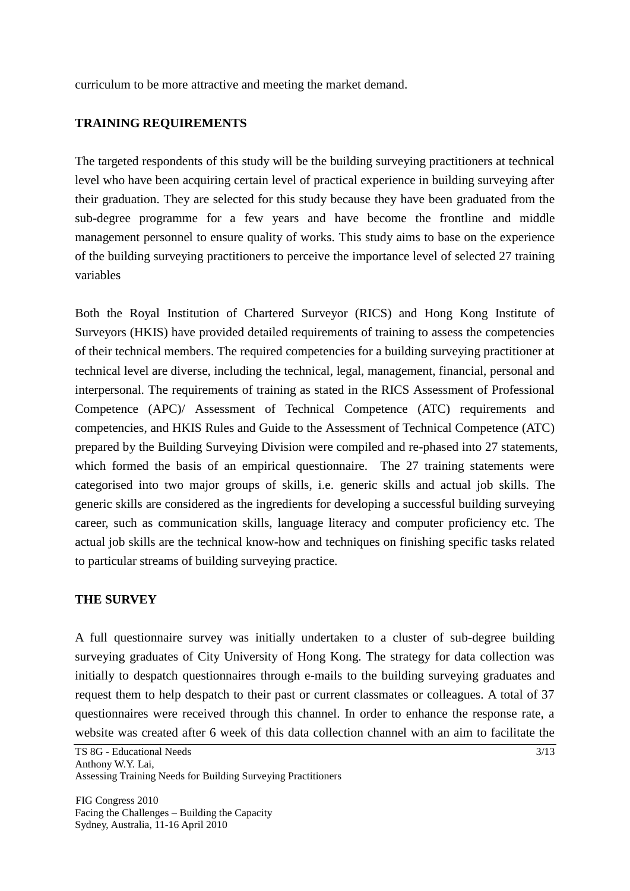curriculum to be more attractive and meeting the market demand.

## **TRAINING REQUIREMENTS**

The targeted respondents of this study will be the building surveying practitioners at technical level who have been acquiring certain level of practical experience in building surveying after their graduation. They are selected for this study because they have been graduated from the sub-degree programme for a few years and have become the frontline and middle management personnel to ensure quality of works. This study aims to base on the experience of the building surveying practitioners to perceive the importance level of selected 27 training variables

Both the Royal Institution of Chartered Surveyor (RICS) and Hong Kong Institute of Surveyors (HKIS) have provided detailed requirements of training to assess the competencies of their technical members. The required competencies for a building surveying practitioner at technical level are diverse, including the technical, legal, management, financial, personal and interpersonal. The requirements of training as stated in the RICS Assessment of Professional Competence (APC)/ Assessment of Technical Competence (ATC) requirements and competencies, and HKIS Rules and Guide to the Assessment of Technical Competence (ATC) prepared by the Building Surveying Division were compiled and re-phased into 27 statements, which formed the basis of an empirical questionnaire. The 27 training statements were categorised into two major groups of skills, i.e. generic skills and actual job skills. The generic skills are considered as the ingredients for developing a successful building surveying career, such as communication skills, language literacy and computer proficiency etc. The actual job skills are the technical know-how and techniques on finishing specific tasks related to particular streams of building surveying practice.

### **THE SURVEY**

A full questionnaire survey was initially undertaken to a cluster of sub-degree building surveying graduates of City University of Hong Kong. The strategy for data collection was initially to despatch questionnaires through e-mails to the building surveying graduates and request them to help despatch to their past or current classmates or colleagues. A total of 37 questionnaires were received through this channel. In order to enhance the response rate, a website was created after 6 week of this data collection channel with an aim to facilitate the

TS 8G - Educational Needs Anthony W.Y. Lai, Assessing Training Needs for Building Surveying Practitioners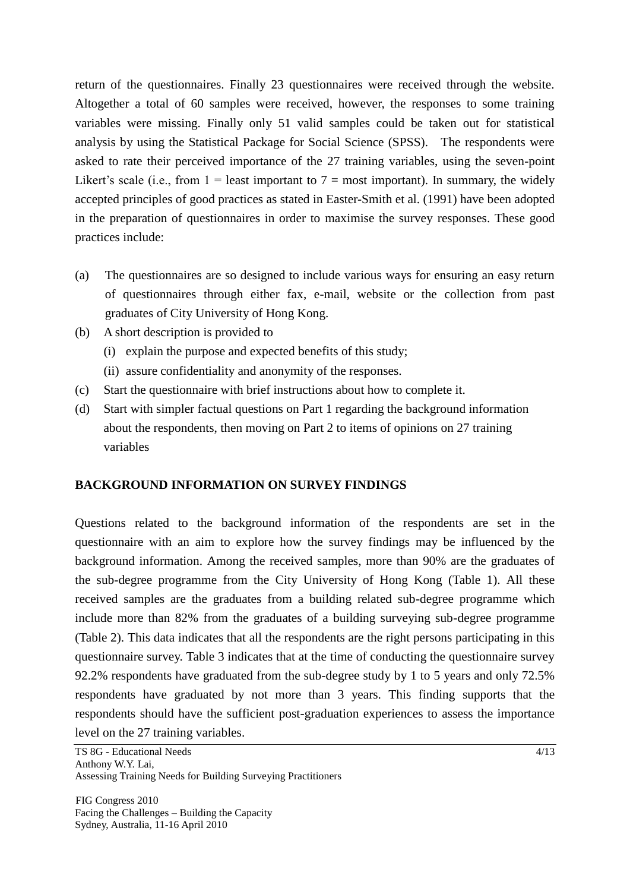return of the questionnaires. Finally 23 questionnaires were received through the website. Altogether a total of 60 samples were received, however, the responses to some training variables were missing. Finally only 51 valid samples could be taken out for statistical analysis by using the Statistical Package for Social Science (SPSS). The respondents were asked to rate their perceived importance of the 27 training variables, using the seven-point Likert's scale (i.e., from 1 = least important to 7 = most important). In summary, the widely accepted principles of good practices as stated in Easter-Smith et al. (1991) have been adopted in the preparation of questionnaires in order to maximise the survey responses. These good practices include:

- (a) The questionnaires are so designed to include various ways for ensuring an easy return of questionnaires through either fax, e-mail, website or the collection from past graduates of City University of Hong Kong.
- (b) A short description is provided to
	- (i) explain the purpose and expected benefits of this study;
	- (ii) assure confidentiality and anonymity of the responses.
- (c) Start the questionnaire with brief instructions about how to complete it.
- (d) Start with simpler factual questions on Part 1 regarding the background information about the respondents, then moving on Part 2 to items of opinions on 27 training variables

## **BACKGROUND INFORMATION ON SURVEY FINDINGS**

Questions related to the background information of the respondents are set in the questionnaire with an aim to explore how the survey findings may be influenced by the background information. Among the received samples, more than 90% are the graduates of the sub-degree programme from the City University of Hong Kong (Table 1). All these received samples are the graduates from a building related sub-degree programme which include more than 82% from the graduates of a building surveying sub-degree programme (Table 2). This data indicates that all the respondents are the right persons participating in this questionnaire survey. Table 3 indicates that at the time of conducting the questionnaire survey 92.2% respondents have graduated from the sub-degree study by 1 to 5 years and only 72.5% respondents have graduated by not more than 3 years. This finding supports that the respondents should have the sufficient post-graduation experiences to assess the importance level on the 27 training variables.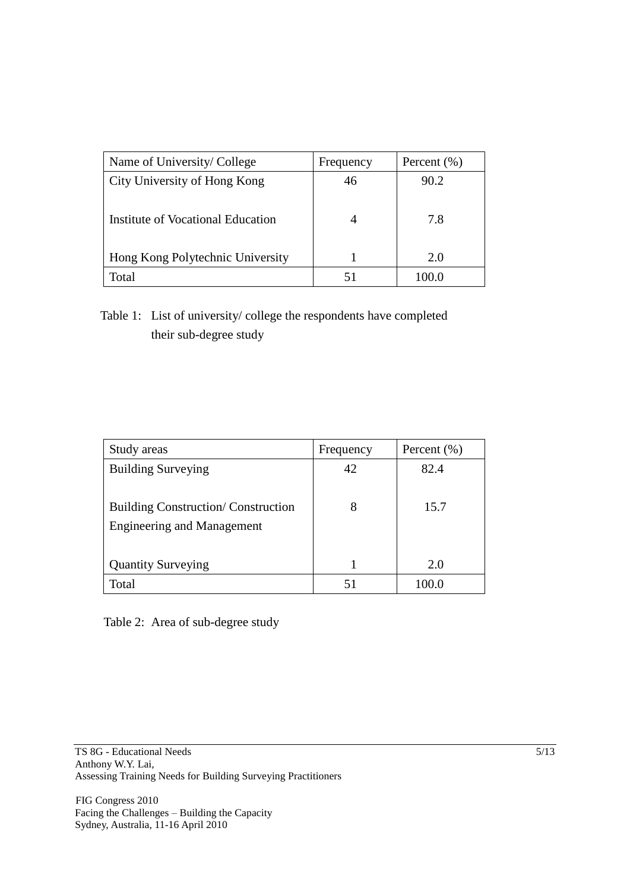| Name of University/College        | Frequency | Percent $(\% )$ |
|-----------------------------------|-----------|-----------------|
| City University of Hong Kong      | 46        | 90.2            |
| Institute of Vocational Education |           | 7.8             |
| Hong Kong Polytechnic University  |           | 2.0             |
| Total                             |           |                 |

Table 1: List of university/ college the respondents have completed their sub-degree study

| Study areas                                                                    | Frequency | Percent $(\% )$ |
|--------------------------------------------------------------------------------|-----------|-----------------|
| <b>Building Surveying</b>                                                      | 42        | 82.4            |
| <b>Building Construction/Construction</b><br><b>Engineering and Management</b> | 8         | 15.7            |
| <b>Quantity Surveying</b>                                                      |           | 2.0             |
| Total                                                                          | 51        | 100 0           |

Table 2: Area of sub-degree study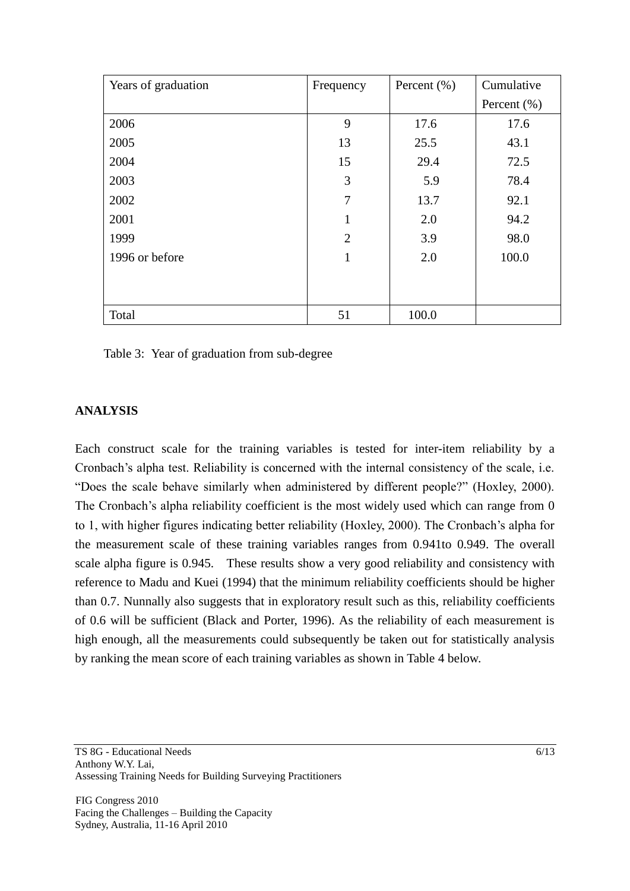| Years of graduation | Frequency      | Percent $(\% )$ | Cumulative      |
|---------------------|----------------|-----------------|-----------------|
|                     |                |                 | Percent $(\% )$ |
| 2006                | 9              | 17.6            | 17.6            |
| 2005                | 13             | 25.5            | 43.1            |
| 2004                | 15             | 29.4            | 72.5            |
| 2003                | 3              | 5.9             | 78.4            |
| 2002                | 7              | 13.7            | 92.1            |
| 2001                | 1              | 2.0             | 94.2            |
| 1999                | $\overline{2}$ | 3.9             | 98.0            |
| 1996 or before      | 1              | 2.0             | 100.0           |
|                     |                |                 |                 |
|                     |                |                 |                 |
| Total               | 51             | 100.0           |                 |

Table 3: Year of graduation from sub-degree

# **ANALYSIS**

Each construct scale for the training variables is tested for inter-item reliability by a Cronbach"s alpha test. Reliability is concerned with the internal consistency of the scale, i.e. "Does the scale behave similarly when administered by different people?" (Hoxley, 2000). The Cronbach's alpha reliability coefficient is the most widely used which can range from 0 to 1, with higher figures indicating better reliability (Hoxley, 2000). The Cronbach"s alpha for the measurement scale of these training variables ranges from 0.941to 0.949. The overall scale alpha figure is 0.945. These results show a very good reliability and consistency with reference to Madu and Kuei (1994) that the minimum reliability coefficients should be higher than 0.7. Nunnally also suggests that in exploratory result such as this, reliability coefficients of 0.6 will be sufficient (Black and Porter, 1996). As the reliability of each measurement is high enough, all the measurements could subsequently be taken out for statistically analysis by ranking the mean score of each training variables as shown in Table 4 below.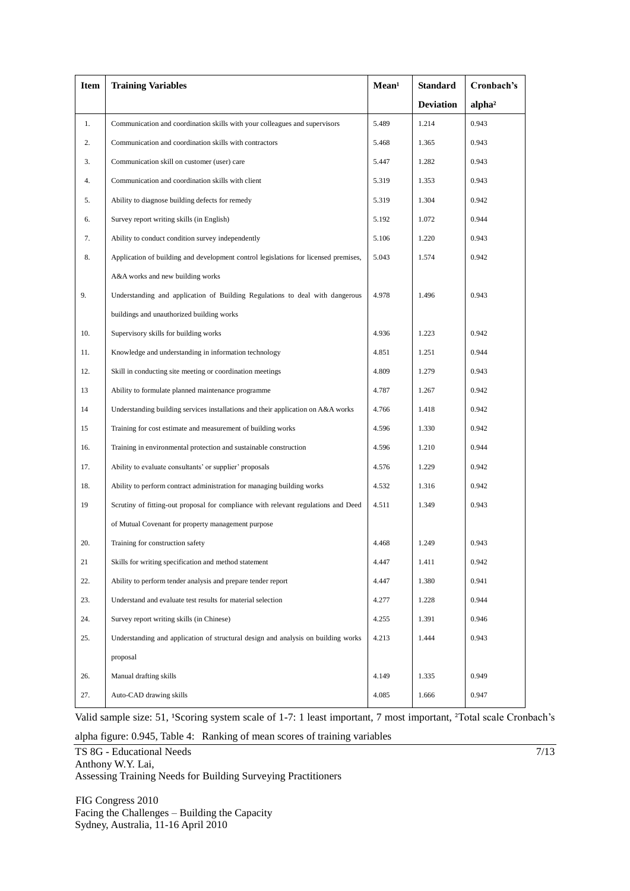| Item | <b>Training Variables</b>                                                           | Mean <sup>1</sup> | <b>Standard</b>  | Cronbach's         |
|------|-------------------------------------------------------------------------------------|-------------------|------------------|--------------------|
|      |                                                                                     |                   | <b>Deviation</b> | alpha <sup>2</sup> |
| 1.   | Communication and coordination skills with your colleagues and supervisors          | 5.489             | 1.214            | 0.943              |
| 2.   | Communication and coordination skills with contractors                              | 5.468             | 1.365            | 0.943              |
| 3.   | Communication skill on customer (user) care                                         | 5.447             | 1.282            | 0.943              |
| 4.   | Communication and coordination skills with client                                   | 5.319             | 1.353            | 0.943              |
| 5.   | Ability to diagnose building defects for remedy                                     | 5.319             | 1.304            | 0.942              |
| 6.   | Survey report writing skills (in English)                                           | 5.192             | 1.072            | 0.944              |
| 7.   | Ability to conduct condition survey independently                                   | 5.106             | 1.220            | 0.943              |
| 8.   | Application of building and development control legislations for licensed premises, | 5.043             | 1.574            | 0.942              |
|      | A&A works and new building works                                                    |                   |                  |                    |
| 9.   | Understanding and application of Building Regulations to deal with dangerous        | 4.978             | 1.496            | 0.943              |
|      | buildings and unauthorized building works                                           |                   |                  |                    |
| 10.  | Supervisory skills for building works                                               | 4.936             | 1.223            | 0.942              |
| 11.  | Knowledge and understanding in information technology                               | 4.851             | 1.251            | 0.944              |
| 12.  | Skill in conducting site meeting or coordination meetings                           | 4.809             | 1.279            | 0.943              |
| 13   | Ability to formulate planned maintenance programme                                  | 4.787             | 1.267            | 0.942              |
| 14   | Understanding building services installations and their application on A&A works    | 4.766             | 1.418            | 0.942              |
| 15   | Training for cost estimate and measurement of building works                        | 4.596             | 1.330            | 0.942              |
| 16.  | Training in environmental protection and sustainable construction                   | 4.596             | 1.210            | 0.944              |
| 17.  | Ability to evaluate consultants' or supplier' proposals                             | 4.576             | 1.229            | 0.942              |
| 18.  | Ability to perform contract administration for managing building works              | 4.532             | 1.316            | 0.942              |
| 19   | Scrutiny of fitting-out proposal for compliance with relevant regulations and Deed  | 4.511             | 1.349            | 0.943              |
|      | of Mutual Covenant for property management purpose                                  |                   |                  |                    |
| 20.  | Training for construction safety                                                    | 4.468             | 1.249            | 0.943              |
| 21   | Skills for writing specification and method statement                               | 4.447             | 1.411            | 0.942              |
| 22.  | Ability to perform tender analysis and prepare tender report                        | 4.447             | 1.380            | 0.941              |
| 23.  | Understand and evaluate test results for material selection                         | 4.277             | 1.228            | 0.944              |
| 24.  | Survey report writing skills (in Chinese)                                           | 4.255             | 1.391            | 0.946              |
| 25.  | Understanding and application of structural design and analysis on building works   | 4.213             | 1.444            | 0.943              |
|      | proposal                                                                            |                   |                  |                    |
| 26.  | Manual drafting skills                                                              | 4.149             | 1.335            | 0.949              |
| 27.  | Auto-CAD drawing skills                                                             | 4.085             | 1.666            | 0.947              |

Valid sample size: 51, <sup>1</sup>Scoring system scale of 1-7: 1 least important, 7 most important, <sup>2</sup>Total scale Cronbach's

alpha figure: 0.945, Table 4: Ranking of mean scores of training variables

TS 8G - Educational Needs Anthony W.Y. Lai, Assessing Training Needs for Building Surveying Practitioners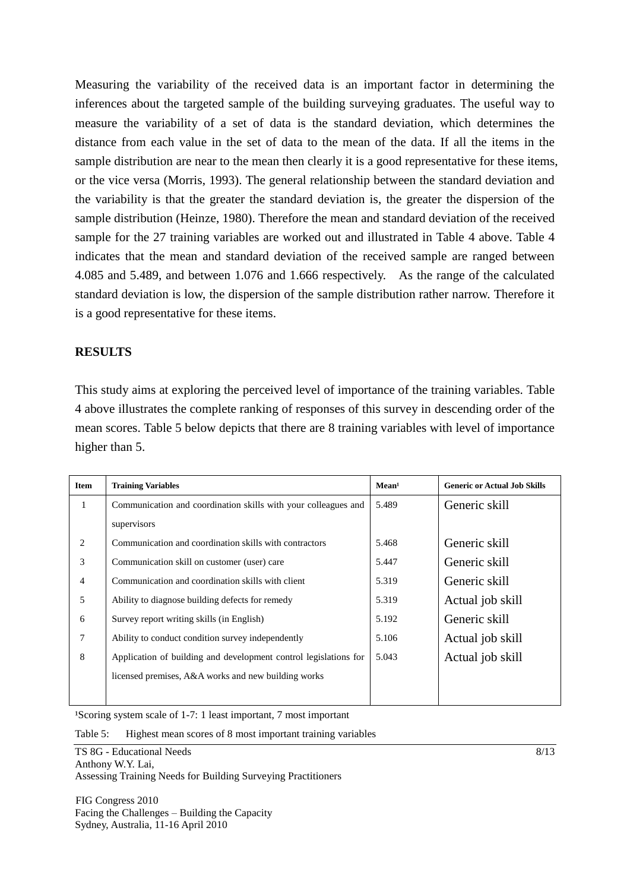Measuring the variability of the received data is an important factor in determining the inferences about the targeted sample of the building surveying graduates. The useful way to measure the variability of a set of data is the standard deviation, which determines the distance from each value in the set of data to the mean of the data. If all the items in the sample distribution are near to the mean then clearly it is a good representative for these items, or the vice versa (Morris, 1993). The general relationship between the standard deviation and the variability is that the greater the standard deviation is, the greater the dispersion of the sample distribution (Heinze, 1980). Therefore the mean and standard deviation of the received sample for the 27 training variables are worked out and illustrated in Table 4 above. Table 4 indicates that the mean and standard deviation of the received sample are ranged between 4.085 and 5.489, and between 1.076 and 1.666 respectively. As the range of the calculated standard deviation is low, the dispersion of the sample distribution rather narrow. Therefore it is a good representative for these items.

# **RESULTS**

This study aims at exploring the perceived level of importance of the training variables. Table 4 above illustrates the complete ranking of responses of this survey in descending order of the mean scores. Table 5 below depicts that there are 8 training variables with level of importance higher than 5.

| <b>Item</b>    | <b>Training Variables</b>                                        | Mean <sup>1</sup> | <b>Generic or Actual Job Skills</b> |
|----------------|------------------------------------------------------------------|-------------------|-------------------------------------|
| 1              | Communication and coordination skills with your colleagues and   | 5.489             | Generic skill                       |
|                | supervisors                                                      |                   |                                     |
| 2              | Communication and coordination skills with contractors           | 5.468             | Generic skill                       |
| 3              | Communication skill on customer (user) care                      | 5.447             | Generic skill                       |
| $\overline{4}$ | Communication and coordination skills with client                | 5.319             | Generic skill                       |
| 5              | Ability to diagnose building defects for remedy                  | 5.319             | Actual job skill                    |
| 6              | Survey report writing skills (in English)                        | 5.192             | Generic skill                       |
| 7              | Ability to conduct condition survey independently                | 5.106             | Actual job skill                    |
| 8              | Application of building and development control legislations for | 5.043             | Actual job skill                    |
|                | licensed premises, A&A works and new building works              |                   |                                     |
|                |                                                                  |                   |                                     |

<sup>1</sup>Scoring system scale of 1-7: 1 least important, 7 most important

Table 5: Highest mean scores of 8 most important training variables

TS 8G - Educational Needs Anthony W.Y. Lai, Assessing Training Needs for Building Surveying Practitioners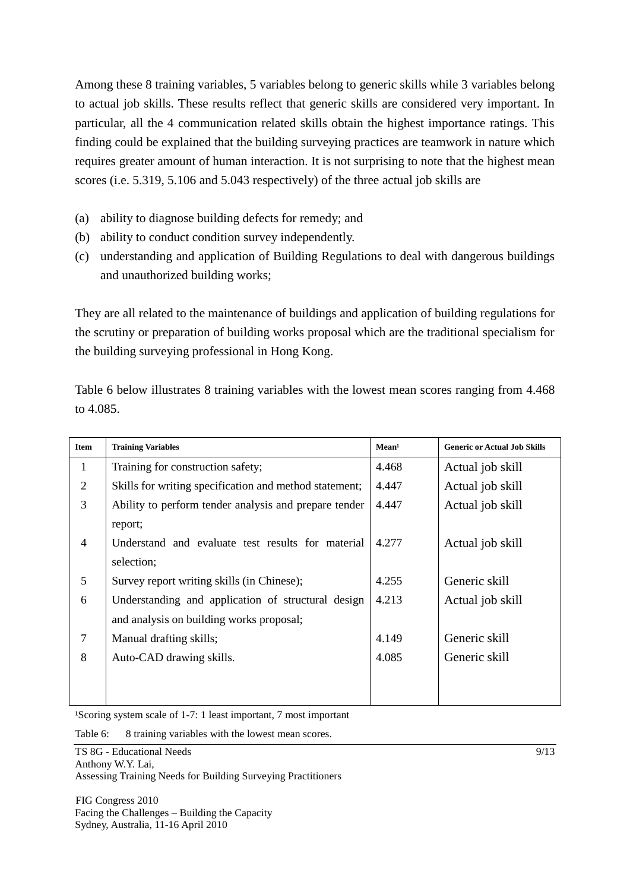Among these 8 training variables, 5 variables belong to generic skills while 3 variables belong to actual job skills. These results reflect that generic skills are considered very important. In particular, all the 4 communication related skills obtain the highest importance ratings. This finding could be explained that the building surveying practices are teamwork in nature which requires greater amount of human interaction. It is not surprising to note that the highest mean scores (i.e. 5.319, 5.106 and 5.043 respectively) of the three actual job skills are

- (a) ability to diagnose building defects for remedy; and
- (b) ability to conduct condition survey independently.
- (c) understanding and application of Building Regulations to deal with dangerous buildings and unauthorized building works;

They are all related to the maintenance of buildings and application of building regulations for the scrutiny or preparation of building works proposal which are the traditional specialism for the building surveying professional in Hong Kong.

Table 6 below illustrates 8 training variables with the lowest mean scores ranging from 4.468 to 4.085.

| <b>Item</b>    | <b>Training Variables</b>                              | Mean <sup>1</sup> | <b>Generic or Actual Job Skills</b> |
|----------------|--------------------------------------------------------|-------------------|-------------------------------------|
| 1              | Training for construction safety;                      | 4.468             | Actual job skill                    |
| $\overline{2}$ | Skills for writing specification and method statement; | 4.447             | Actual job skill                    |
| 3              | Ability to perform tender analysis and prepare tender  | 4.447             | Actual job skill                    |
|                | report;                                                |                   |                                     |
| $\overline{4}$ | Understand and evaluate test results for material      | 4.277             | Actual job skill                    |
|                | selection;                                             |                   |                                     |
| 5              | Survey report writing skills (in Chinese);             | 4.255             | Generic skill                       |
| 6              | Understanding and application of structural design     | 4.213             | Actual job skill                    |
|                | and analysis on building works proposal;               |                   |                                     |
| 7              | Manual drafting skills;                                | 4.149             | Generic skill                       |
| 8              | Auto-CAD drawing skills.                               | 4.085             | Generic skill                       |
|                |                                                        |                   |                                     |
|                |                                                        |                   |                                     |

<sup>1</sup>Scoring system scale of 1-7: 1 least important, 7 most important

Table 6: 8 training variables with the lowest mean scores.

TS 8G - Educational Needs Anthony W.Y. Lai, Assessing Training Needs for Building Surveying Practitioners

FIG Congress 2010 Facing the Challenges – Building the Capacity Sydney, Australia, 11-16 April 2010

9/13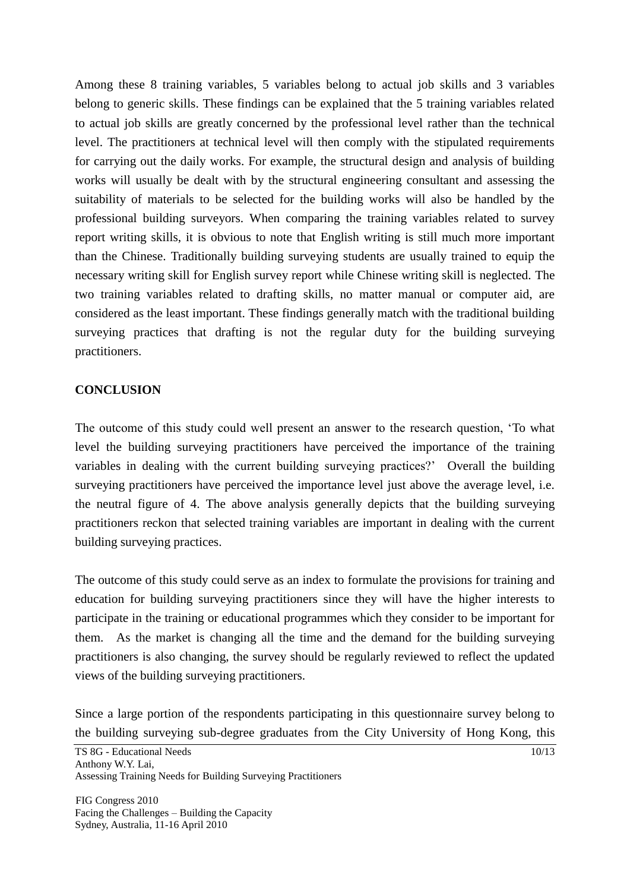Among these 8 training variables, 5 variables belong to actual job skills and 3 variables belong to generic skills. These findings can be explained that the 5 training variables related to actual job skills are greatly concerned by the professional level rather than the technical level. The practitioners at technical level will then comply with the stipulated requirements for carrying out the daily works. For example, the structural design and analysis of building works will usually be dealt with by the structural engineering consultant and assessing the suitability of materials to be selected for the building works will also be handled by the professional building surveyors. When comparing the training variables related to survey report writing skills, it is obvious to note that English writing is still much more important than the Chinese. Traditionally building surveying students are usually trained to equip the necessary writing skill for English survey report while Chinese writing skill is neglected. The two training variables related to drafting skills, no matter manual or computer aid, are considered as the least important. These findings generally match with the traditional building surveying practices that drafting is not the regular duty for the building surveying practitioners.

## **CONCLUSION**

The outcome of this study could well present an answer to the research question, "To what level the building surveying practitioners have perceived the importance of the training variables in dealing with the current building surveying practices?" Overall the building surveying practitioners have perceived the importance level just above the average level, i.e. the neutral figure of 4. The above analysis generally depicts that the building surveying practitioners reckon that selected training variables are important in dealing with the current building surveying practices.

The outcome of this study could serve as an index to formulate the provisions for training and education for building surveying practitioners since they will have the higher interests to participate in the training or educational programmes which they consider to be important for them. As the market is changing all the time and the demand for the building surveying practitioners is also changing, the survey should be regularly reviewed to reflect the updated views of the building surveying practitioners.

Since a large portion of the respondents participating in this questionnaire survey belong to the building surveying sub-degree graduates from the City University of Hong Kong, this

TS 8G - Educational Needs Anthony W.Y. Lai, Assessing Training Needs for Building Surveying Practitioners

FIG Congress 2010 Facing the Challenges – Building the Capacity Sydney, Australia, 11-16 April 2010

 $\frac{10}{13}$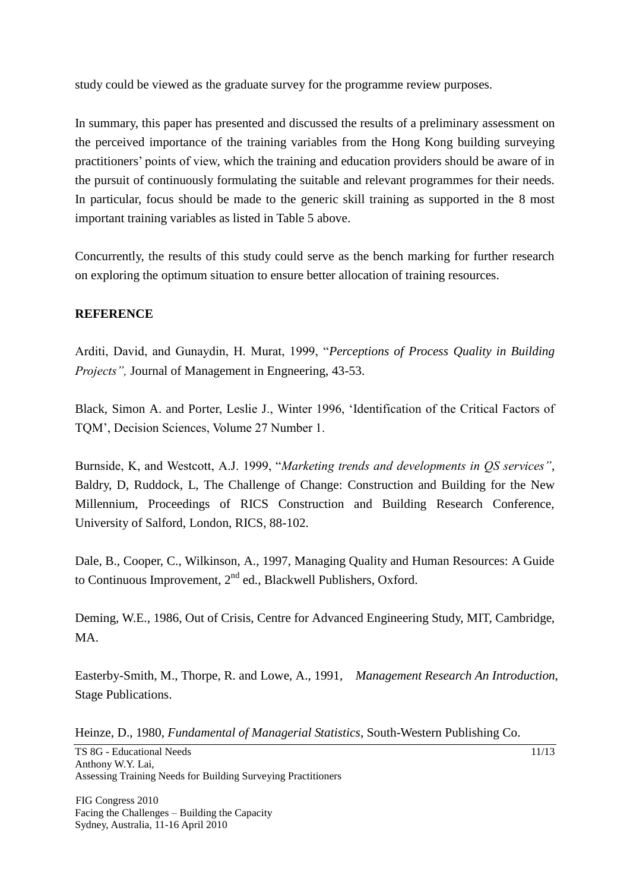study could be viewed as the graduate survey for the programme review purposes.

In summary, this paper has presented and discussed the results of a preliminary assessment on the perceived importance of the training variables from the Hong Kong building surveying practitioners" points of view, which the training and education providers should be aware of in the pursuit of continuously formulating the suitable and relevant programmes for their needs. In particular, focus should be made to the generic skill training as supported in the 8 most important training variables as listed in Table 5 above.

Concurrently, the results of this study could serve as the bench marking for further research on exploring the optimum situation to ensure better allocation of training resources.

# **REFERENCE**

Arditi, David, and Gunaydin, H. Murat, 1999, "*Perceptions of Process Quality in Building Projects"*, Journal of Management in Engneering, 43-53.

Black, Simon A. and Porter, Leslie J., Winter 1996, "Identification of the Critical Factors of TQM", Decision Sciences, Volume 27 Number 1.

Burnside, K, and Westcott, A.J. 1999, "*Marketing trends and developments in QS services"*, Baldry, D, Ruddock, L, The Challenge of Change: Construction and Building for the New Millennium, Proceedings of RICS Construction and Building Research Conference, University of Salford, London, RICS, 88-102.

Dale, B., Cooper, C., Wilkinson, A., 1997, Managing Quality and Human Resources: A Guide to Continuous Improvement, 2<sup>nd</sup> ed., Blackwell Publishers, Oxford.

Deming, W.E., 1986, Out of Crisis, Centre for Advanced Engineering Study, MIT, Cambridge, MA.

Easterby-Smith, M., Thorpe, R. and Lowe, A., 1991, *Management Research An Introduction*, Stage Publications.

Heinze, D., 1980, *Fundamental of Managerial Statistics*, South-Western Publishing Co.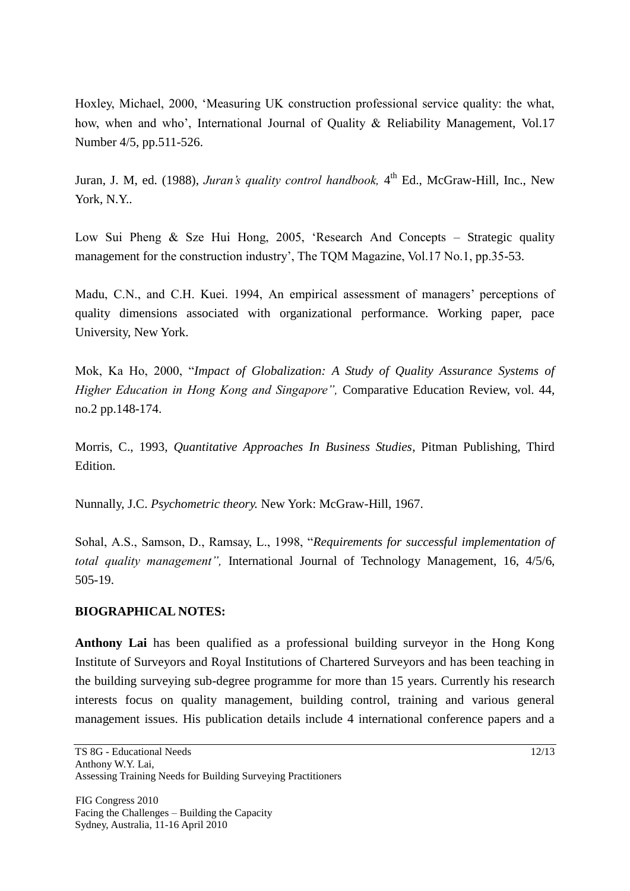Hoxley, Michael, 2000, "Measuring UK construction professional service quality: the what, how, when and who', International Journal of Quality & Reliability Management, Vol.17 Number 4/5, pp.511-526.

Juran, J. M, ed. (1988), *Juran's quality control handbook*, 4<sup>th</sup> Ed., McGraw-Hill, Inc., New York, N.Y..

Low Sui Pheng & Sze Hui Hong, 2005, "Research And Concepts – Strategic quality management for the construction industry', The TQM Magazine, Vol.17 No.1, pp.35-53.

Madu, C.N., and C.H. Kuei. 1994, An empirical assessment of managers' perceptions of quality dimensions associated with organizational performance. Working paper, pace University, New York.

Mok, Ka Ho, 2000, "*Impact of Globalization: A Study of Quality Assurance Systems of Higher Education in Hong Kong and Singapore",* Comparative Education Review, vol. 44, no.2 pp.148-174.

Morris, C., 1993, *Quantitative Approaches In Business Studies*, Pitman Publishing, Third Edition.

Nunnally, J.C. *Psychometric theory.* New York: McGraw-Hill, 1967.

Sohal, A.S., Samson, D., Ramsay, L., 1998, "*Requirements for successful implementation of total quality management",* International Journal of Technology Management, 16, 4/5/6, 505-19.

# **BIOGRAPHICAL NOTES:**

**Anthony Lai** has been qualified as a professional building surveyor in the Hong Kong Institute of Surveyors and Royal Institutions of Chartered Surveyors and has been teaching in the building surveying sub-degree programme for more than 15 years. Currently his research interests focus on quality management, building control, training and various general management issues. His publication details include 4 international conference papers and a